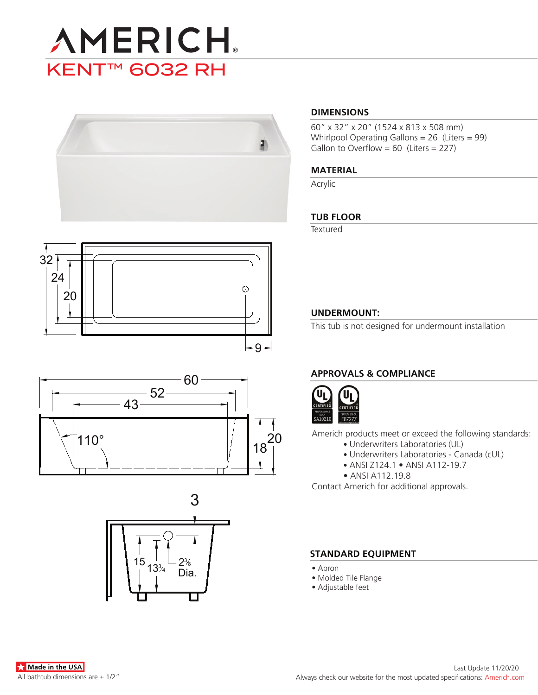



# 32 24  $\odot$ 20  $-9 -$





#### **DIMENSIONS**

60" x 32" x 20" (1524 x 813 x 508 mm) Whirlpool Operating Gallons = 26 (Liters = 99) Gallon to Overflow =  $60$  (Liters = 227)

#### **MATERIAL**

Acrylic

#### **TUB FLOOR**

**Textured** 

#### **UNDERMOUNT:**

This tub is not designed for undermount installation

### **APPROVALS & COMPLIANCE**



Americh products meet or exceed the following standards:

- Underwriters Laboratories (UL)
	- Underwriters Laboratories Canada (cUL)
	- ANSI Z124.1 ANSI A112-19.7
- ANSI A112.19.8

Contact Americh for additional approvals.

#### **STANDARD EQUIPMENT**

- Apron
- Molded Tile Flange
- Adjustable feet